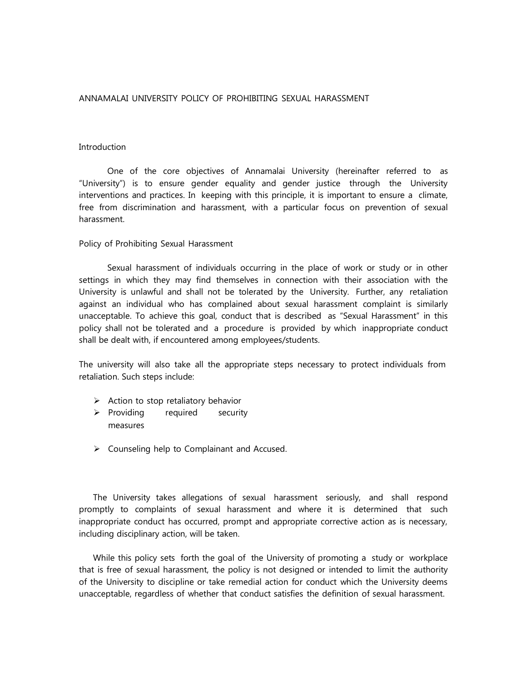## ANNAMALAI UNIVERSITY POLICY OF PROHIBITING SEXUAL HARASSMENT

## Introduction

One of the core objectives of Annamalai University (hereinafter referred to as "University") is to ensure gender equality and gender justice through the University interventions and practices. In keeping with this principle, it is important to ensure a climate, free from discrimination and harassment, with a particular focus on prevention of sexual harassment.

#### Policy of Prohibiting Sexual Harassment

Sexual harassment of individuals occurring in the place of work or study or in other settings in which they may find themselves in connection with their association with the University is unlawful and shall not be tolerated by the University. Further, any retaliation against an individual who has complained about sexual harassment complaint is similarly unacceptable. To achieve this goal, conduct that is described as "Sexual Harassment" in this policy shall not be tolerated and a procedure is provided by which inappropriate conduct shall be dealt with, if encountered among employees/students.

The university will also take all the appropriate steps necessary to protect individuals from retaliation. Such steps include:

- $\triangleright$  Action to stop retaliatory behavior
- $\triangleright$  Providing required security measures
- $\triangleright$  Counseling help to Complainant and Accused.

The University takes allegations of sexual harassment seriously, and shall respond promptly to complaints of sexual harassment and where it is determined that such inappropriate conduct has occurred, prompt and appropriate corrective action as is necessary, including disciplinary action, will be taken.

While this policy sets forth the goal of the University of promoting a study or workplace that is free of sexual harassment, the policy is not designed or intended to limit the authority of the University to discipline or take remedial action for conduct which the University deems unacceptable, regardless of whether that conduct satisfies the definition of sexual harassment.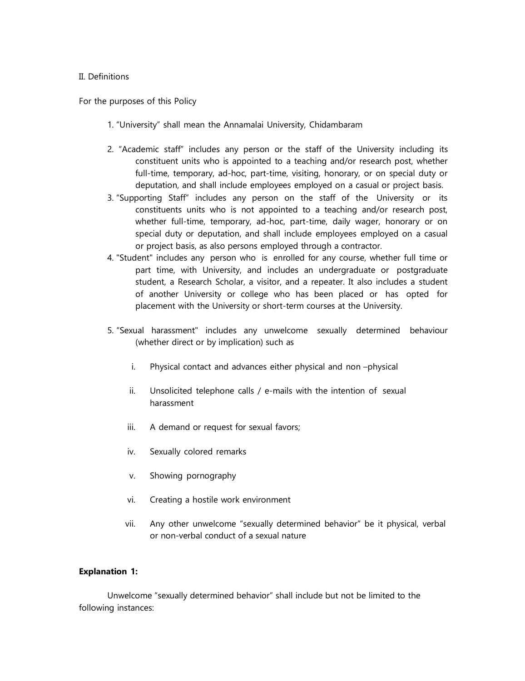## II. Definitions

For the purposes of this Policy

- 1. "University" shall mean the Annamalai University, Chidambaram
- 2. "Academic staff" includes any person or the staff of the University including its constituent units who is appointed to a teaching and/or research post, whether full-time, temporary, ad-hoc, part-time, visiting, honorary, or on special duty or deputation, and shall include employees employed on a casual or project basis.
- 3. "Supporting Staff" includes any person on the staff of the University or its constituents units who is not appointed to a teaching and/or research post, whether full-time, temporary, ad-hoc, part-time, daily wager, honorary or on special duty or deputation, and shall include employees employed on a casual or project basis, as also persons employed through a contractor.
- 4. "Student" includes any person who is enrolled for any course, whether full time or part time, with University, and includes an undergraduate or postgraduate student, a Research Scholar, a visitor, and a repeater. It also includes a student of another University or college who has been placed or has opted for placement with the University or short-term courses at the University.
- 5. "Sexual harassment" includes any unwelcome sexually determined behaviour (whether direct or by implication) such as
	- i. Physical contact and advances either physical and non –physical
	- ii. Unsolicited telephone calls / e-mails with the intention of sexual harassment
	- iii. A demand or request for sexual favors;
	- iv. Sexually colored remarks
	- v. Showing pornography
	- vi. Creating a hostile work environment
	- vii. Any other unwelcome "sexually determined behavior" be it physical, verbal or non-verbal conduct of a sexual nature

### **Explanation 1:**

Unwelcome "sexually determined behavior" shall include but not be limited to the following instances: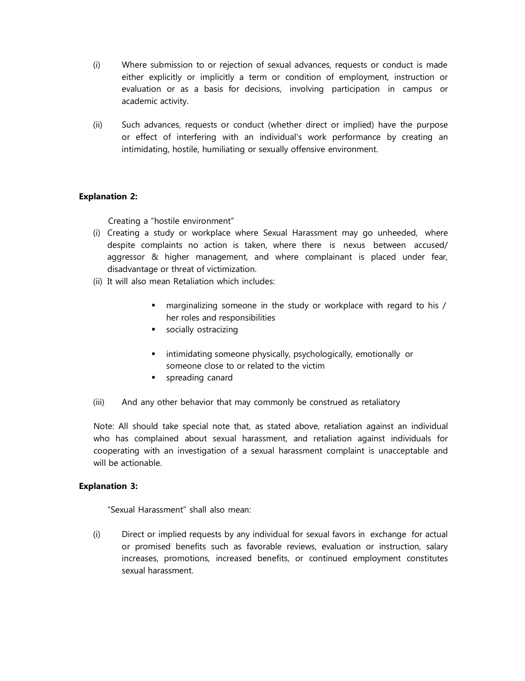- (i) Where submission to or rejection of sexual advances, requests or conduct is made either explicitly or implicitly a term or condition of employment, instruction or evaluation or as a basis for decisions, involving participation in campus or academic activity.
- (ii) Such advances, requests or conduct (whether direct or implied) have the purpose or effect of interfering with an individual's work performance by creating an intimidating, hostile, humiliating or sexually offensive environment.

# **Explanation 2:**

Creating a "hostile environment"

- (i) Creating a study or workplace where Sexual Harassment may go unheeded, where despite complaints no action is taken, where there is nexus between accused/ aggressor & higher management, and where complainant is placed under fear, disadvantage or threat of victimization.
- (ii) It will also mean Retaliation which includes:
	- marginalizing someone in the study or workplace with regard to his / her roles and responsibilities
	- **socially ostracizing**
	- intimidating someone physically, psychologically, emotionally or someone close to or related to the victim
	- **spreading canard**
- (iii) And any other behavior that may commonly be construed as retaliatory

Note: All should take special note that, as stated above, retaliation against an individual who has complained about sexual harassment, and retaliation against individuals for cooperating with an investigation of a sexual harassment complaint is unacceptable and will be actionable.

# **Explanation 3:**

"Sexual Harassment" shall also mean:

(i) Direct or implied requests by any individual for sexual favors in exchange for actual or promised benefits such as favorable reviews, evaluation or instruction, salary increases, promotions, increased benefits, or continued employment constitutes sexual harassment.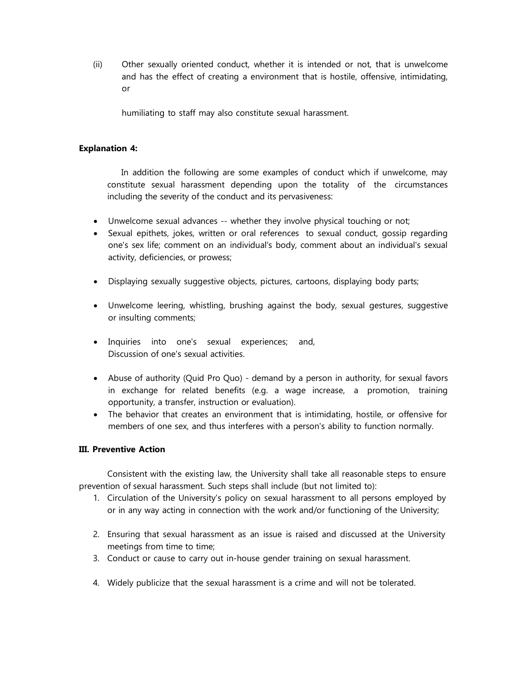(ii) Other sexually oriented conduct, whether it is intended or not, that is unwelcome and has the effect of creating a environment that is hostile, offensive, intimidating, or

humiliating to staff may also constitute sexual harassment.

## **Explanation 4:**

In addition the following are some examples of conduct which if unwelcome, may constitute sexual harassment depending upon the totality of the circumstances including the severity of the conduct and its pervasiveness:

- Unwelcome sexual advances -- whether they involve physical touching or not;
- Sexual epithets, jokes, written or oral references to sexual conduct, gossip regarding one's sex life; comment on an individual's body, comment about an individual's sexual activity, deficiencies, or prowess;
- Displaying sexually suggestive objects, pictures, cartoons, displaying body parts;
- Unwelcome leering, whistling, brushing against the body, sexual gestures, suggestive or insulting comments;
- Inquiries into one's sexual experiences; and, Discussion of one's sexual activities.
- Abuse of authority (Quid Pro Quo) demand by a person in authority, for sexual favors in exchange for related benefits (e.g. a wage increase, a promotion, training opportunity, a transfer, instruction or evaluation).
- The behavior that creates an environment that is intimidating, hostile, or offensive for members of one sex, and thus interferes with a person's ability to function normally.

### **III. Preventive Action**

Consistent with the existing law, the University shall take all reasonable steps to ensure prevention of sexual harassment. Such steps shall include (but not limited to):

- 1. Circulation of the University's policy on sexual harassment to all persons employed by or in any way acting in connection with the work and/or functioning of the University;
- 2. Ensuring that sexual harassment as an issue is raised and discussed at the University meetings from time to time;
- 3. Conduct or cause to carry out in-house gender training on sexual harassment.
- 4. Widely publicize that the sexual harassment is a crime and will not be tolerated.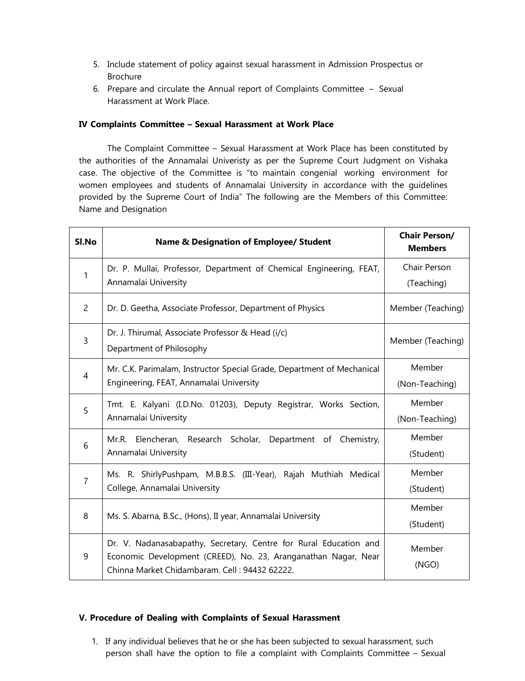- 5. Include statement of policy against sexual harassment in Admission Prospectus or Brochure
- 6. Prepare and circulate the Annual report of Complaints Committee Sexual Harassment at Work Place.

## **IV Complaints Committee – Sexual Harassment at Work Place**

The Complaint Committee – Sexual Harassment at Work Place has been constituted by the authorities of the Annamalai Univeristy as per the Supreme Court Judgment on Vishaka case. The objective of the Committee is "to maintain congenial working environment for women employees and students of Annamalai University in accordance with the guidelines provided by the Supreme Court of India" The following are the Members of this Committee: Name and Designation

| Sl.No          | <b>Name &amp; Designation of Employee/ Student</b>                                                                                                                                   | <b>Chair Person/</b><br><b>Members</b> |
|----------------|--------------------------------------------------------------------------------------------------------------------------------------------------------------------------------------|----------------------------------------|
| 1              | Dr. P. Mullai, Professor, Department of Chemical Engineering, FEAT,<br>Annamalai University                                                                                          | Chair Person                           |
|                |                                                                                                                                                                                      | (Teaching)                             |
| $\overline{2}$ | Dr. D. Geetha, Associate Professor, Department of Physics                                                                                                                            | Member (Teaching)                      |
| $\overline{3}$ | Dr. J. Thirumal, Associate Professor & Head (i/c)                                                                                                                                    | Member (Teaching)                      |
|                | Department of Philosophy                                                                                                                                                             |                                        |
| $\overline{4}$ | Mr. C.K. Parimalam, Instructor Special Grade, Department of Mechanical<br>Engineering, FEAT, Annamalai University                                                                    | Member                                 |
|                |                                                                                                                                                                                      | (Non-Teaching)                         |
| 5              | Tmt. E. Kalyani (I.D.No. 01203), Deputy Registrar, Works Section,<br>Annamalai University                                                                                            | Member                                 |
|                |                                                                                                                                                                                      | (Non-Teaching)                         |
| 6              | Mr.R. Elencheran, Research Scholar,<br>Department of<br>Chemistry,<br>Annamalai University                                                                                           | Member                                 |
|                |                                                                                                                                                                                      | (Student)                              |
| $\overline{7}$ | Ms. R. ShirlyPushpam, M.B.B.S. (III-Year), Rajah Muthiah Medical<br>College, Annamalai University                                                                                    | Member                                 |
|                |                                                                                                                                                                                      | (Student)                              |
| 8              | Ms. S. Abarna, B.Sc., (Hons), II year, Annamalai University                                                                                                                          | Member                                 |
|                |                                                                                                                                                                                      | (Student)                              |
| 9              | Dr. V. Nadanasabapathy, Secretary, Centre for Rural Education and<br>Economic Development (CREED), No. 23, Aranganathan Nagar, Near<br>Chinna Market Chidambaram. Cell: 94432 62222. | Member                                 |
|                |                                                                                                                                                                                      | (NGO)                                  |
|                |                                                                                                                                                                                      |                                        |

# **V. Procedure of Dealing with Complaints of Sexual Harassment**

1. If any individual believes that he or she has been subjected to sexual harassment, such person shall have the option to file a complaint with Complaints Committee – Sexual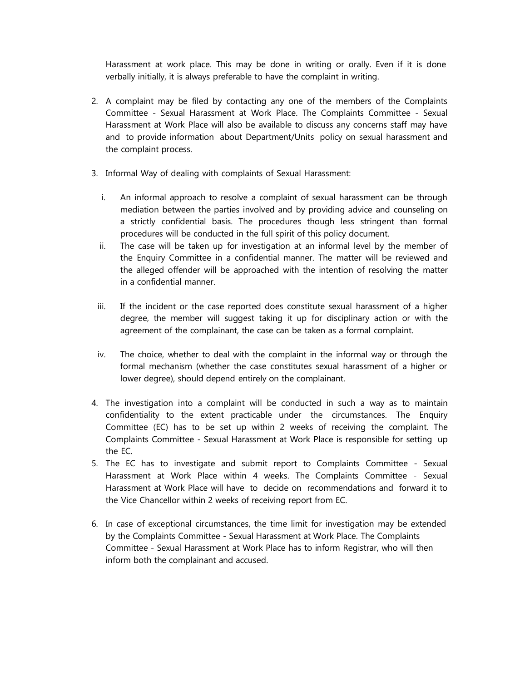Harassment at work place. This may be done in writing or orally. Even if it is done verbally initially, it is always preferable to have the complaint in writing.

- 2. A complaint may be filed by contacting any one of the members of the Complaints Committee - Sexual Harassment at Work Place. The Complaints Committee - Sexual Harassment at Work Place will also be available to discuss any concerns staff may have and to provide information about Department/Units policy on sexual harassment and the complaint process.
- 3. Informal Way of dealing with complaints of Sexual Harassment:
	- i. An informal approach to resolve a complaint of sexual harassment can be through mediation between the parties involved and by providing advice and counseling on a strictly confidential basis. The procedures though less stringent than formal procedures will be conducted in the full spirit of this policy document.
	- ii. The case will be taken up for investigation at an informal level by the member of the Enquiry Committee in a confidential manner. The matter will be reviewed and the alleged offender will be approached with the intention of resolving the matter in a confidential manner.
	- iii. If the incident or the case reported does constitute sexual harassment of a higher degree, the member will suggest taking it up for disciplinary action or with the agreement of the complainant, the case can be taken as a formal complaint.
	- iv. The choice, whether to deal with the complaint in the informal way or through the formal mechanism (whether the case constitutes sexual harassment of a higher or lower degree), should depend entirely on the complainant.
- 4. The investigation into a complaint will be conducted in such a way as to maintain confidentiality to the extent practicable under the circumstances. The Enquiry Committee (EC) has to be set up within 2 weeks of receiving the complaint. The Complaints Committee - Sexual Harassment at Work Place is responsible for setting up the EC.
- 5. The EC has to investigate and submit report to Complaints Committee Sexual Harassment at Work Place within 4 weeks. The Complaints Committee - Sexual Harassment at Work Place will have to decide on recommendations and forward it to the Vice Chancellor within 2 weeks of receiving report from EC.
- 6. In case of exceptional circumstances, the time limit for investigation may be extended by the Complaints Committee - Sexual Harassment at Work Place. The Complaints Committee - Sexual Harassment at Work Place has to inform Registrar, who will then inform both the complainant and accused.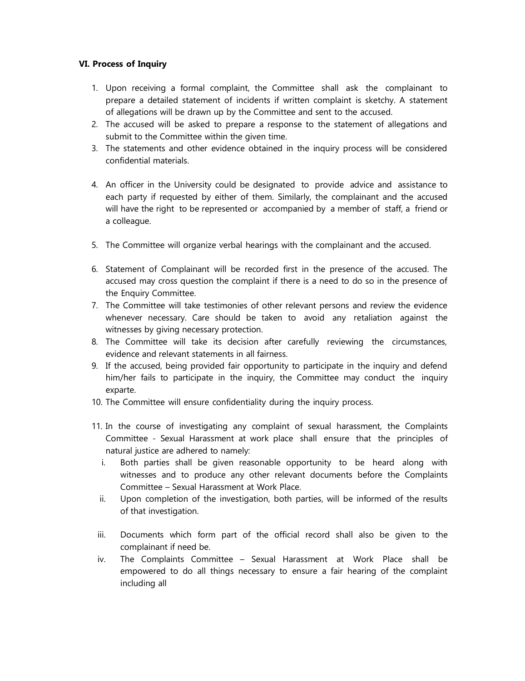# **VI. Process of Inquiry**

- 1. Upon receiving a formal complaint, the Committee shall ask the complainant to prepare a detailed statement of incidents if written complaint is sketchy. A statement of allegations will be drawn up by the Committee and sent to the accused.
- 2. The accused will be asked to prepare a response to the statement of allegations and submit to the Committee within the given time.
- 3. The statements and other evidence obtained in the inquiry process will be considered confidential materials.
- 4. An officer in the University could be designated to provide advice and assistance to each party if requested by either of them. Similarly, the complainant and the accused will have the right to be represented or accompanied by a member of staff, a friend or a colleague.
- 5. The Committee will organize verbal hearings with the complainant and the accused.
- 6. Statement of Complainant will be recorded first in the presence of the accused. The accused may cross question the complaint if there is a need to do so in the presence of the Enquiry Committee.
- 7. The Committee will take testimonies of other relevant persons and review the evidence whenever necessary. Care should be taken to avoid any retaliation against the witnesses by giving necessary protection.
- 8. The Committee will take its decision after carefully reviewing the circumstances, evidence and relevant statements in all fairness.
- 9. If the accused, being provided fair opportunity to participate in the inquiry and defend him/her fails to participate in the inquiry, the Committee may conduct the inquiry exparte.
- 10. The Committee will ensure confidentiality during the inquiry process.
- 11. In the course of investigating any complaint of sexual harassment, the Complaints Committee - Sexual Harassment at work place shall ensure that the principles of natural justice are adhered to namely:
	- i. Both parties shall be given reasonable opportunity to be heard along with witnesses and to produce any other relevant documents before the Complaints Committee – Sexual Harassment at Work Place.
	- ii. Upon completion of the investigation, both parties, will be informed of the results of that investigation.
	- iii. Documents which form part of the official record shall also be given to the complainant if need be.
	- iv. The Complaints Committee Sexual Harassment at Work Place shall be empowered to do all things necessary to ensure a fair hearing of the complaint including all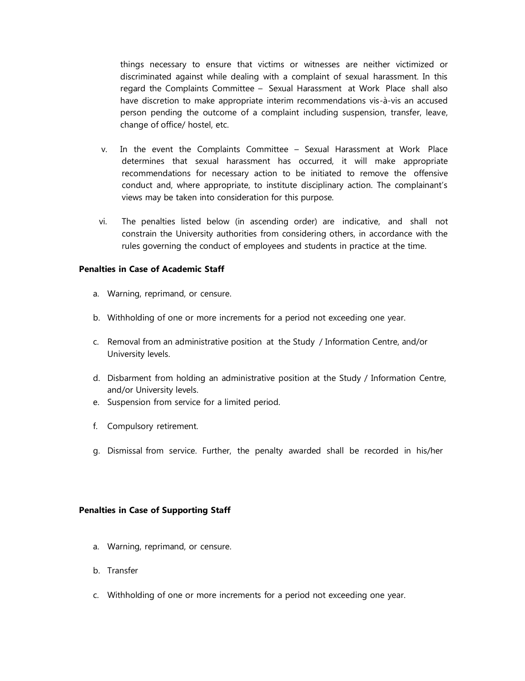things necessary to ensure that victims or witnesses are neither victimized or discriminated against while dealing with a complaint of sexual harassment. In this regard the Complaints Committee – Sexual Harassment at Work Place shall also have discretion to make appropriate interim recommendations vis-à-vis an accused person pending the outcome of a complaint including suspension, transfer, leave, change of office/ hostel, etc.

- v. In the event the Complaints Committee Sexual Harassment at Work Place determines that sexual harassment has occurred, it will make appropriate recommendations for necessary action to be initiated to remove the offensive conduct and, where appropriate, to institute disciplinary action. The complainant's views may be taken into consideration for this purpose.
- vi. The penalties listed below (in ascending order) are indicative, and shall not constrain the University authorities from considering others, in accordance with the rules governing the conduct of employees and students in practice at the time.

## **Penalties in Case of Academic Staff**

- a. Warning, reprimand, or censure.
- b. Withholding of one or more increments for a period not exceeding one year.
- c. Removal from an administrative position at the Study / Information Centre, and/or University levels.
- d. Disbarment from holding an administrative position at the Study / Information Centre, and/or University levels.
- e. Suspension from service for a limited period.
- f. Compulsory retirement.
- g. Dismissal from service. Further, the penalty awarded shall be recorded in his/her

#### **Penalties in Case of Supporting Staff**

- a. Warning, reprimand, or censure.
- b. Transfer
- c. Withholding of one or more increments for a period not exceeding one year.